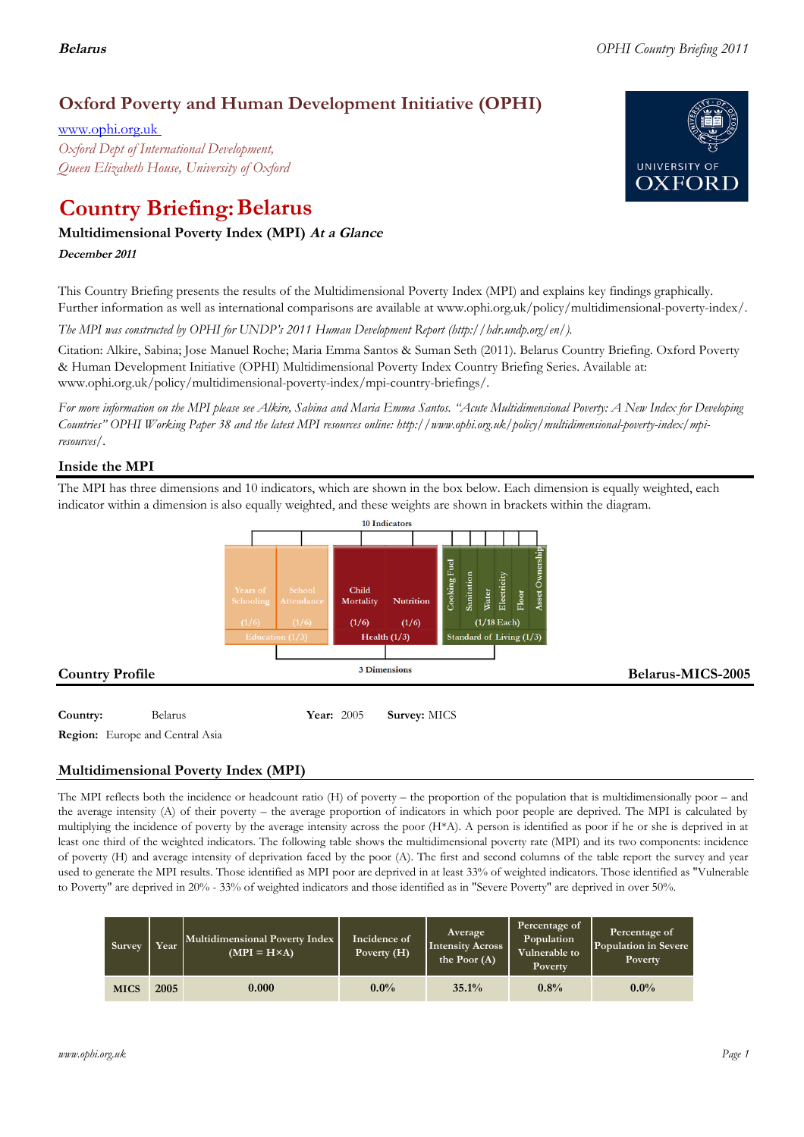## **Oxford Poverty and Human Development Initiative (OPHI)**

www.ophi.org.uk *Oxford Dept of International Development, Queen Elizabeth House, University of Oxford*

# **Country Briefing: Belarus**

### **Multidimensional Poverty Index (MPI) At <sup>a</sup> Glance**

**December <sup>2011</sup>**

This Country Briefing presents the results of the Multidimensional Poverty Index (MPI) and explains key findings graphically. Further information as well as international comparisons are available at www.ophi.org.uk/policy/multidimensional-poverty-index/.

*The MPI was constructed by OPHI for UNDP's 2011 Human Development Report (http://hdr.undp.org/en/).*

Citation: Alkire, Sabina; Jose Manuel Roche; Maria Emma Santos & Suman Seth (2011). Belarus Country Briefing. Oxford Poverty & Human Development Initiative (OPHI) Multidimensional Poverty Index Country Briefing Series. Available at: www.ophi.org.uk/policy/multidimensional-poverty-index/mpi-country-briefings/.

*For more information on the MPI please see Alkire, Sabina and Maria Emma Santos. "Acute Multidimensional Poverty: A New Index for Developing Countries" OPHI Working Paper 38 and the latest MPI resources online: http://www.ophi.org.uk/policy/multidimensional-poverty-index/mpiresources/.*

### **Inside the MPI**

The MPI has three dimensions and 10 indicators, which are shown in the box below. Each dimension is equally weighted, each indicator within a dimension is also equally weighted, and these weights are shown in brackets within the diagram.



**Country:** 3 Belarus 3 **Year:** 2005 **Survey:** MICS

**Region:** Europe and Central Asia

### **Multidimensional Poverty Index (MPI)**

The MPI reflects both the incidence or headcount ratio (H) of poverty – the proportion of the population that is multidimensionally poor – and the average intensity (A) of their poverty – the average proportion of indicators in which poor people are deprived. The MPI is calculated by multiplying the incidence of poverty by the average intensity across the poor (H\*A). A person is identified as poor if he or she is deprived in at least one third of the weighted indicators. The following table shows the multidimensional poverty rate (MPI) and its two components: incidence of poverty (H) and average intensity of deprivation faced by the poor (A). The first and second columns of the table report the survey and year used to generate the MPI results. Those identified as MPI poor are deprived in at least 33% of weighted indicators. Those identified as "Vulnerable to Poverty" are deprived in 20% - 33% of weighted indicators and those identified as in "Severe Poverty" are deprived in over 50%.

| <b>Survey</b> | Year | Multidimensional Poverty Index<br>$(MPI = H \times A)$ | Incidence of<br>Poverty $(H)$ | Average<br>Intensity Across<br>the Poor $(A)$ | Percentage of<br>Population<br>Vulnerable to<br><b>Poverty</b> | Percentage of<br>Population in Severe<br>Poverty |
|---------------|------|--------------------------------------------------------|-------------------------------|-----------------------------------------------|----------------------------------------------------------------|--------------------------------------------------|
| <b>MICS</b>   | 2005 | 0.000                                                  | $0.0\%$                       | 35.1%                                         | 0.8%                                                           | $0.0\%$                                          |

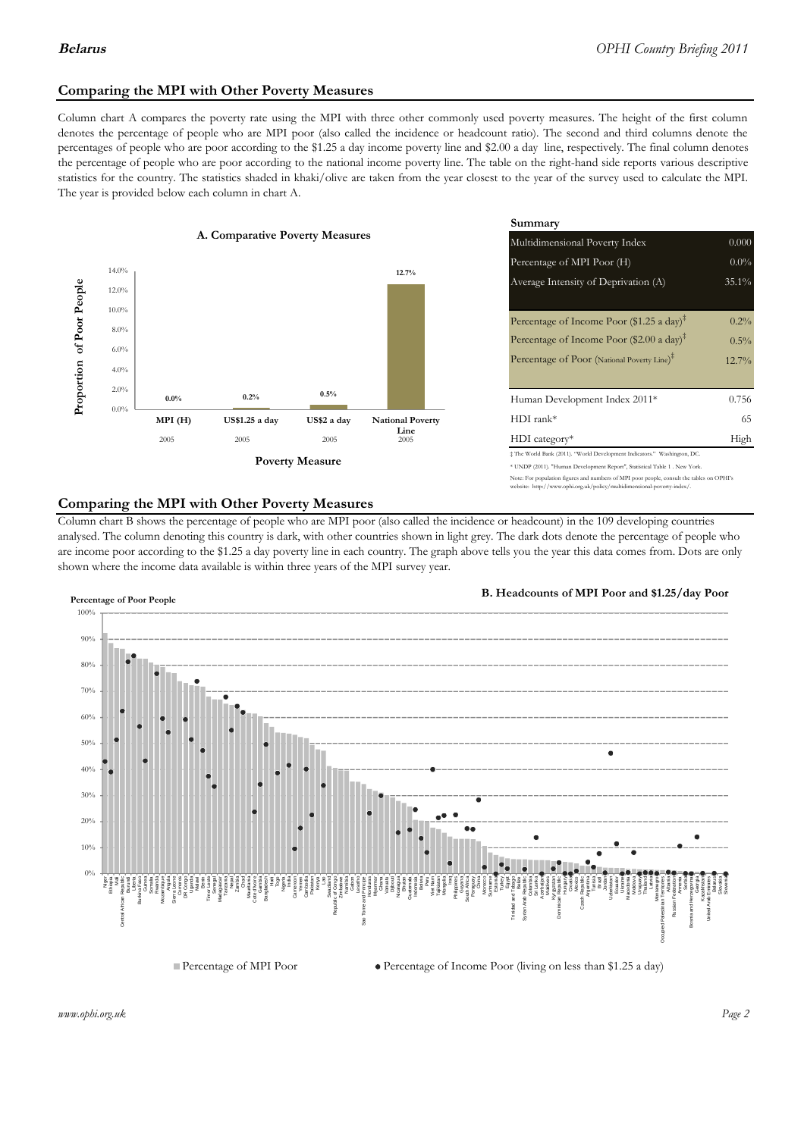### **Comparing the MPI with Other Poverty Measures**

Column chart A compares the poverty rate using the MPI with three other commonly used poverty measures. The height of the first column denotes the percentage of people who are MPI poor (also called the incidence or headcount ratio). The second and third columns denote the percentages of people who are poor according to the \$1.25 a day income poverty line and \$2.00 a day line, respectively. The final column denotes the percentage of people who are poor according to the national income poverty line. The table on the right-hand side reports various descriptive statistics for the country. The statistics shaded in khaki/olive are taken from the year closest to the year of the survey used to calculate the MPI. The year is provided below each column in chart A.



|                |                         | Summary                                                                                                                                                    |          |  |  |
|----------------|-------------------------|------------------------------------------------------------------------------------------------------------------------------------------------------------|----------|--|--|
| erty Measures  |                         | 0.000<br>Multidimensional Poverty Index                                                                                                                    |          |  |  |
|                |                         | Percentage of MPI Poor (H)                                                                                                                                 | $0.0\%$  |  |  |
|                | 12.7%                   | Average Intensity of Deprivation (A)                                                                                                                       | $35.1\%$ |  |  |
|                |                         | Percentage of Income Poor (\$1.25 a day) <sup>‡</sup>                                                                                                      | 0.2%     |  |  |
|                |                         | Percentage of Income Poor (\$2.00 a day) <sup><math>\bar{x}</math></sup>                                                                                   | $0.5\%$  |  |  |
|                |                         | Percentage of Poor (National Poverty Line) <sup>#</sup>                                                                                                    | $12.7\%$ |  |  |
|                |                         |                                                                                                                                                            |          |  |  |
| 0.5%           |                         | Human Development Index 2011*                                                                                                                              | 0.756    |  |  |
| US\$2 a day    | <b>National Poverty</b> | $HDI$ rank*                                                                                                                                                | 65       |  |  |
| 2005           | Line<br>2005            | $HDI category*$                                                                                                                                            | High     |  |  |
| <b>Aeasure</b> |                         | $\pm$ The World Bank (2011). "World Development Indicators." Washington, DC.<br>* UNDP (2011). "Human Development Report", Statistical Table 1 . New York. |          |  |  |
|                |                         |                                                                                                                                                            |          |  |  |

e: For population figures and numbers of MPI poor people, consult the tables on OPHI's te: http://www.ophi.org.uk/policy/multidimensional-poverty-index/

### **Comparing the MPI with Other Poverty Measures**

Column chart B shows the percentage of people who are MPI poor (also called the incidence or headcount) in the 109 developing countries analysed. The column denoting this country is dark, with other countries shown in light grey. The dark dots denote the percentage of people who are income poor according to the \$1.25 a day poverty line in each country. The graph above tells you the year this data comes from. Dots are only shown where the income data available is within three years of the MPI survey year.



**B. Headcounts of MPI Poor and \$1.25/day Poor**



*www.ophi.org.uk Page 2*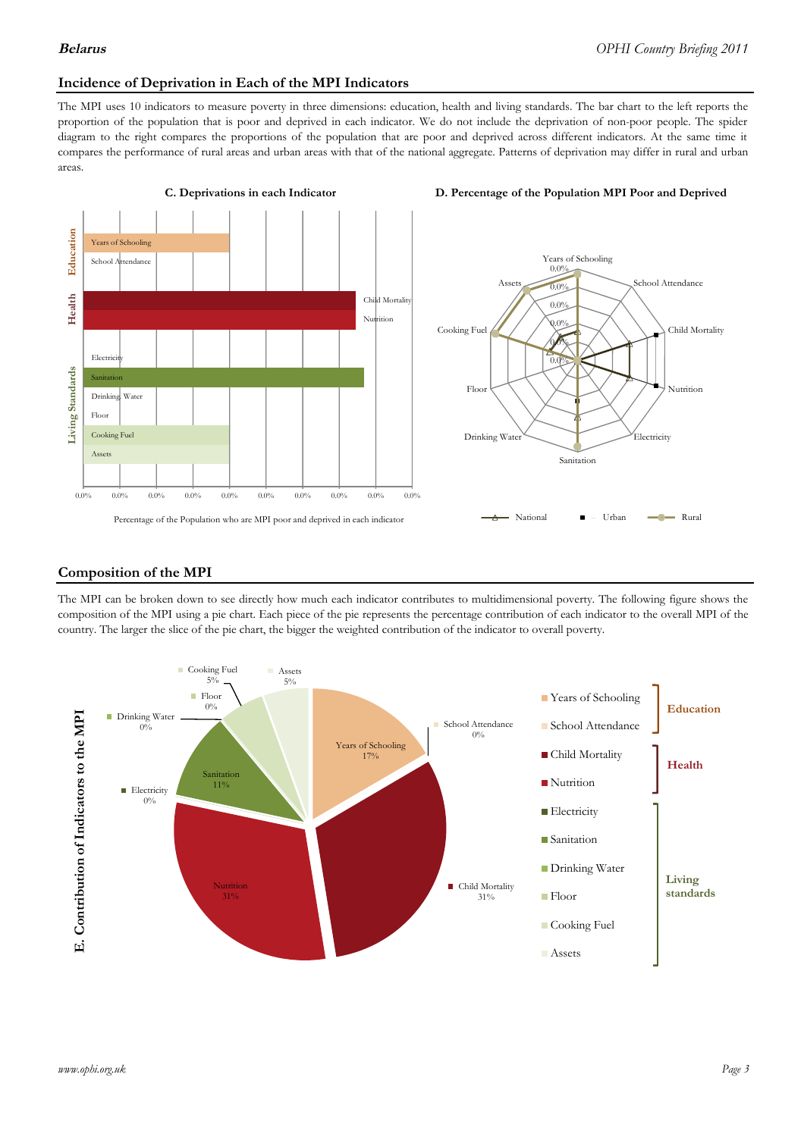### **Incidence of Deprivation in Each of the MPI Indicators**

The MPI uses 10 indicators to measure poverty in three dimensions: education, health and living standards. The bar chart to the left reports the proportion of the population that is poor and deprived in each indicator. We do not include the deprivation of non-poor people. The spider diagram to the right compares the proportions of the population that are poor and deprived across different indicators. At the same time it compares the performance of rural areas and urban areas with that of the national aggregate. Patterns of deprivation may differ in rural and urban areas.







### **Composition of the MPI**

The MPI can be broken down to see directly how much each indicator contributes to multidimensional poverty. The following figure shows the composition of the MPI using a pie chart. Each piece of the pie represents the percentage contribution of each indicator to the overall MPI of the country. The larger the slice of the pie chart, the bigger the weighted contribution of the indicator to overall poverty.